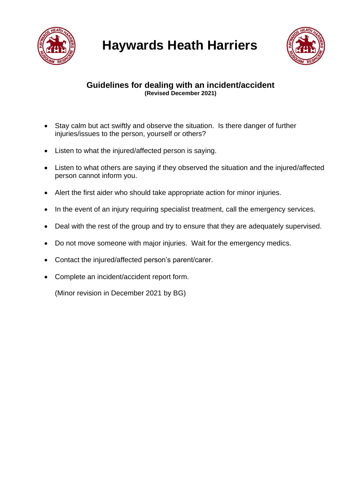



## **Guidelines for dealing with an incident/accident (Revised December 2021)**

- Stay calm but act swiftly and observe the situation. Is there danger of further injuries/issues to the person, yourself or others?
- Listen to what the injured/affected person is saying.
- Listen to what others are saying if they observed the situation and the injured/affected person cannot inform you.
- Alert the first aider who should take appropriate action for minor injuries.
- In the event of an injury requiring specialist treatment, call the emergency services.
- Deal with the rest of the group and try to ensure that they are adequately supervised.
- Do not move someone with major injuries. Wait for the emergency medics.
- Contact the injured/affected person's parent/carer.
- Complete an incident/accident report form.

(Minor revision in December 2021 by BG)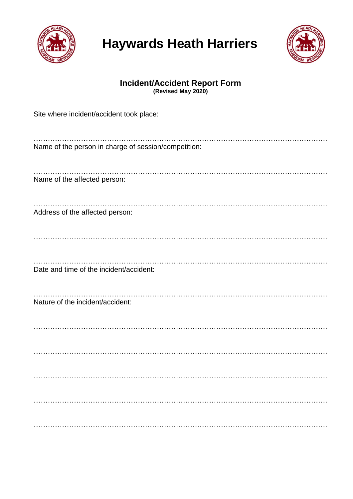

## **Haywards Heath Harriers**



## **Incident/Accident Report Form (Revised May 2020)**

| Site where incident/accident took place:             |
|------------------------------------------------------|
| Name of the person in charge of session/competition: |
| Name of the affected person:                         |
| Address of the affected person:                      |
| Date and time of the incident/accident:              |
| Nature of the incident/accident:                     |
|                                                      |
|                                                      |
|                                                      |
|                                                      |
|                                                      |